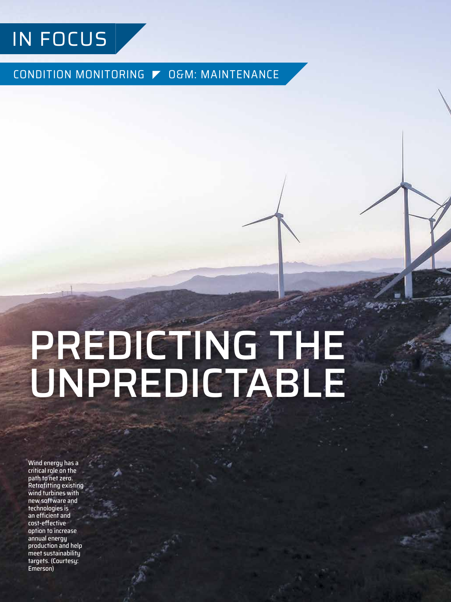

CONDITION MONITORING | O&M: MAINTENANCE

# PREDICTING THE UNPREDICTABLE

Wind energy has a critical role on the path to net zero. Retrofitting existing wind turbines with new software and technologies is an efficient and cost-effective option to increase annual energy production and help meet sustainability targets. (Courtesy: Emerson)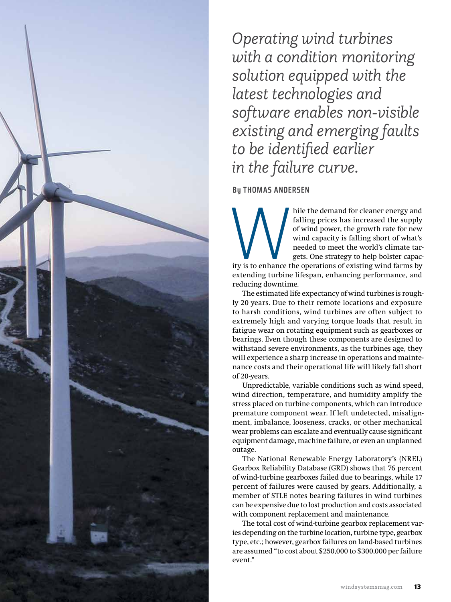

hile the demand for cleaner energy and<br>falling prices has increased the supply<br>of wind power, the growth rate for new<br>wind capacity is falling short of what's<br>needed to meet the world's climate tar-<br>gets. One strategy to h falling prices has increased the supply of wind power, the growth rate for new wind capacity is falling short of what's needed to meet the world's climate targets. One strategy to help bolster capacity is to enhance the operations of existing wind farms by extending turbine lifespan, enhancing performance, and reducing downtime.

The estimated life expectancy of wind turbines is roughly 20 years. Due to their remote locations and exposure to harsh conditions, wind turbines are often subject to extremely high and varying torque loads that result in fatigue wear on rotating equipment such as gearboxes or bearings. Even though these components are designed to withstand severe environments, as the turbines age, they will experience a sharp increase in operations and maintenance costs and their operational life will likely fall short of 20-years.

Unpredictable, variable conditions such as wind speed, wind direction, temperature, and humidity amplify the stress placed on turbine components, which can introduce premature component wear. If left undetected, misalignment, imbalance, looseness, cracks, or other mechanical wear problems can escalate and eventually cause significant equipment damage, machine failure, or even an unplanned outage.

The National Renewable Energy Laboratory's (NREL) Gearbox Reliability Database (GRD) shows that 76 percent of wind-turbine gearboxes failed due to bearings, while 17 percent of failures were caused by gears. Additionally, a member of STLE notes bearing failures in wind turbines can be expensive due to lost production and costs associated with component replacement and maintenance.

The total cost of wind-turbine gearbox replacement varies depending on the turbine location, turbine type, gearbox type, etc.; however, gearbox failures on land-based turbines are assumed "to cost about \$250,000 to \$300,000 per failure event"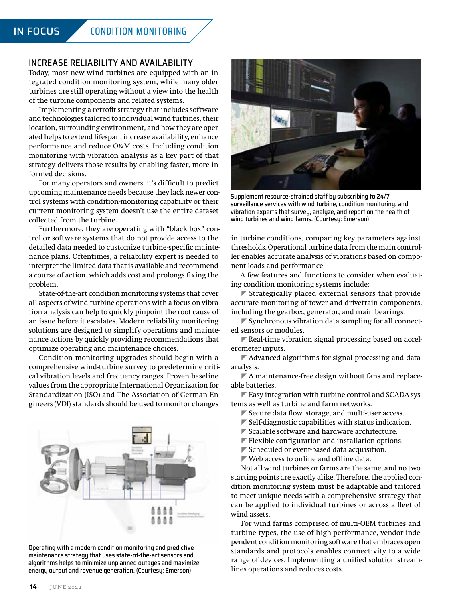### INCREASE RELIABILITY AND AVAILABILITY

Today, most new wind turbines are equipped with an integrated condition monitoring system, while many older turbines are still operating without a view into the health of the turbine components and related systems.

Implementing a retrofit strategy that includes software and technologies tailored to individual wind turbines, their location, surrounding environment, and how they are operated helps to extend lifespan, increase availability, enhance performance and reduce O&M costs. Including condition monitoring with vibration analysis as a key part of that strategy delivers those results by enabling faster, more informed decisions.

For many operators and owners, it's difficult to predict upcoming maintenance needs because they lack newer control systems with condition-monitoring capability or their current monitoring system doesn't use the entire dataset collected from the turbine.

Furthermore, they are operating with "black box" control or software systems that do not provide access to the detailed data needed to customize turbine-specific maintenance plans. Oftentimes, a reliability expert is needed to interpret the limited data that is available and recommend a course of action, which adds cost and prolongs fixing the problem.

State-of-the-art condition monitoring systems that cover all aspects of wind-turbine operations with a focus on vibration analysis can help to quickly pinpoint the root cause of an issue before it escalates. Modern reliability monitoring solutions are designed to simplify operations and maintenance actions by quickly providing recommendations that optimize operating and maintenance choices.

Condition monitoring upgrades should begin with a comprehensive wind-turbine survey to predetermine critical vibration levels and frequency ranges. Proven baseline values from the appropriate International Organization for Standardization (ISO) and The Association of German Engineers (VDI) standards should be used to monitor changes



Operating with a modern condition monitoring and predictive maintenance strategy that uses state-of-the-art sensors and algorithms helps to minimize unplanned outages and maximize energy output and revenue generation. (Courtesy: Emerson)



Supplement resource-strained staff by subscribing to 24/7 surveillance services with wind turbine, condition monitoring, and vibration experts that survey, analyze, and report on the health of wind turbines and wind farms. (Courtesy: Emerson)

in turbine conditions, comparing key parameters against thresholds. Operational turbine data from the main controller enables accurate analysis of vibrations based on component loads and performance.

A few features and functions to consider when evaluating condition monitoring systems include:

 $\blacktriangleright$  Strategically placed external sensors that provide accurate monitoring of tower and drivetrain components, including the gearbox, generator, and main bearings.

 $\blacktriangleright$  Synchronous vibration data sampling for all connected sensors or modules.

 $\blacktriangledown$  Real-time vibration signal processing based on accelerometer inputs.

 $\blacktriangledown$  Advanced algorithms for signal processing and data analysis.

 $\nabla$  A maintenance-free design without fans and replaceable batteries.

 $\blacktriangleright$  Easy integration with turbine control and SCADA systems as well as turbine and farm networks.

- $\blacktriangleright$  Secure data flow, storage, and multi-user access.
- $\blacktriangleright$  Self-diagnostic capabilities with status indication.
- $\blacktriangleright$  Scalable software and hardware architecture.
- $\blacktriangleright$  Flexible configuration and installation options.
- $\blacktriangleright$  Scheduled or event-based data acquisition.
- $\blacktriangledown$  Web access to online and offline data.

Not all wind turbines or farms are the same, and no two starting points are exactly alike. Therefore, the applied condition monitoring system must be adaptable and tailored to meet unique needs with a comprehensive strategy that can be applied to individual turbines or across a fleet of wind assets.

For wind farms comprised of multi-OEM turbines and turbine types, the use of high-performance, vendor-independent condition monitoring software that embraces open standards and protocols enables connectivity to a wide range of devices. Implementing a unified solution streamlines operations and reduces costs.